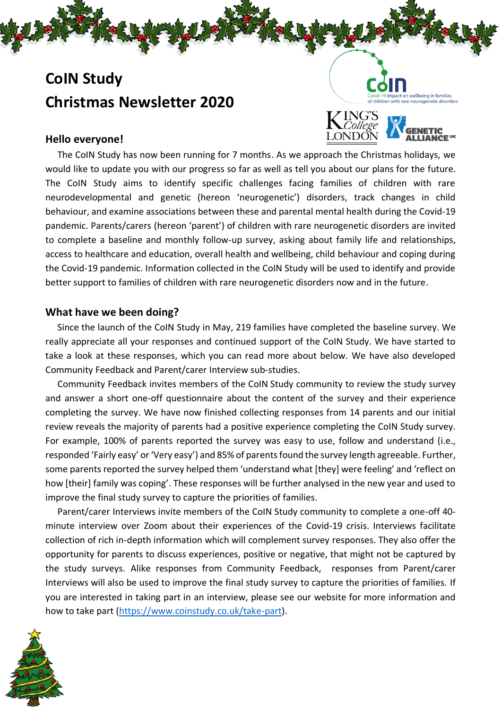# **CoIN Study Christmas Newsletter 2020**



t on wellbeing in families

## **Hello everyone!**

The CoIN Study has now been running for 7 months. As we approach the Christmas holidays, we would like to update you with our progress so far as well as tell you about our plans for the future. The CoIN Study aims to identify specific challenges facing families of children with rare neurodevelopmental and genetic (hereon 'neurogenetic') disorders, track changes in child behaviour, and examine associations between these and parental mental health during the Covid-19 pandemic. Parents/carers (hereon 'parent') of children with rare neurogenetic disorders are invited to complete a baseline and monthly follow-up survey, asking about family life and relationships, access to healthcare and education, overall health and wellbeing, child behaviour and coping during the Covid-19 pandemic. Information collected in the CoIN Study will be used to identify and provide better support to families of children with rare neurogenetic disorders now and in the future.

### **What have we been doing?**

Since the launch of the CoIN Study in May, 219 families have completed the baseline survey. We really appreciate all your responses and continued support of the CoIN Study. We have started to take a look at these responses, which you can read more about below. We have also developed Community Feedback and Parent/carer Interview sub-studies.

Community Feedback invites members of the CoIN Study community to review the study survey and answer a short one-off questionnaire about the content of the survey and their experience completing the survey. We have now finished collecting responses from 14 parents and our initial review reveals the majority of parents had a positive experience completing the CoIN Study survey. For example, 100% of parents reported the survey was easy to use, follow and understand (i.e., responded 'Fairly easy' or 'Very easy') and 85% of parents found the survey length agreeable. Further, some parents reported the survey helped them 'understand what [they] were feeling' and 'reflect on how [their] family was coping'. These responses will be further analysed in the new year and used to improve the final study survey to capture the priorities of families.

Parent/carer Interviews invite members of the CoIN Study community to complete a one-off 40 minute interview over Zoom about their experiences of the Covid-19 crisis. Interviews facilitate collection of rich in-depth information which will complement survey responses. They also offer the opportunity for parents to discuss experiences, positive or negative, that might not be captured by the study surveys. Alike responses from Community Feedback, responses from Parent/carer Interviews will also be used to improve the final study survey to capture the priorities of families. If you are interested in taking part in an interview, please see our website for more information and how to take part [\(https://www.coinstudy.co.uk/take-part\)](https://www.coinstudy.co.uk/take-part).

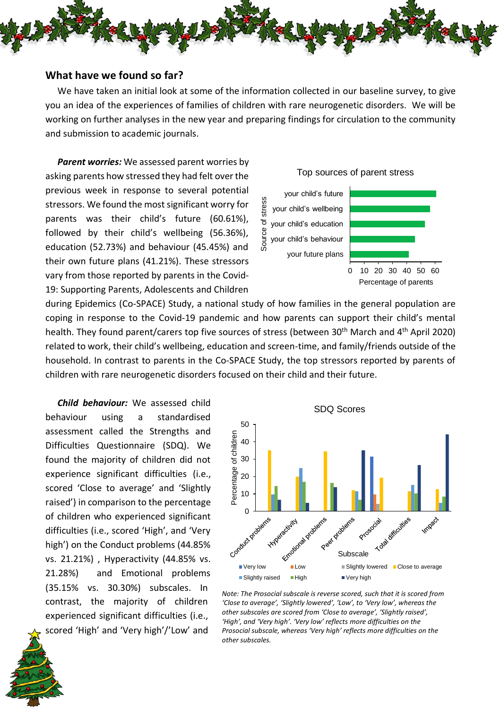

### **What have we found so far?**

We have taken an initial look at some of the information collected in our baseline survey, to give you an idea of the experiences of families of children with rare neurogenetic disorders. We will be working on further analyses in the new year and preparing findings for circulation to the community and submission to academic journals.

*Parent worries:* We assessed parent worries by asking parents how stressed they had felt over the previous week in response to several potential stressors. We found the most significant worry for parents was their child's future (60.61%), followed by their child's wellbeing (56.36%), education (52.73%) and behaviour (45.45%) and their own future plans (41.21%). These stressors vary from those reported by parents in the Covid-19: Supporting Parents, Adolescents and Children

#### Top sources of parent stress

your child's future Source of stress stres your child's wellbeing ৳ your child's education your child's behaviour ნი<br>ა your future plans



during Epidemics (Co-SPACE) Study, a national study of how families in the general population are coping in response to the Covid-19 pandemic and how parents can support their child's mental health. They found parent/carers top five sources of stress (between 30<sup>th</sup> March and 4<sup>th</sup> April 2020) related to work, their child's wellbeing, education and screen-time, and family/friends outside of the household. In contrast to parents in the Co-SPACE Study, the top stressors reported by parents of children with rare neurogenetic disorders focused on their child and their future.

*Child behaviour:* We assessed child behaviour using a standardised assessment called the Strengths and Difficulties Questionnaire (SDQ). We found the majority of children did not experience significant difficulties (i.e., scored 'Close to average' and 'Slightly raised') in comparison to the percentage of children who experienced significant difficulties (i.e., scored 'High', and 'Very high') on the Conduct problems (44.85% vs. 21.21%) , Hyperactivity (44.85% vs. 21.28%) and Emotional problems (35.15% vs. 30.30%) subscales. In contrast, the majority of children experienced significant difficulties (i.e., scored 'High' and 'Very high'/'Low' and



*Note: The Prosocial subscale is reverse scored, such that it is scored from 'Close to average', 'Slightly lowered', 'Low', to 'Very low', whereas the other subscales are scored from 'Close to average', 'Slightly raised', 'High', and 'Very high'. 'Very low' reflects more difficulties on the Prosocial subscale, whereas 'Very high' reflects more difficulties on the other subscales.* 

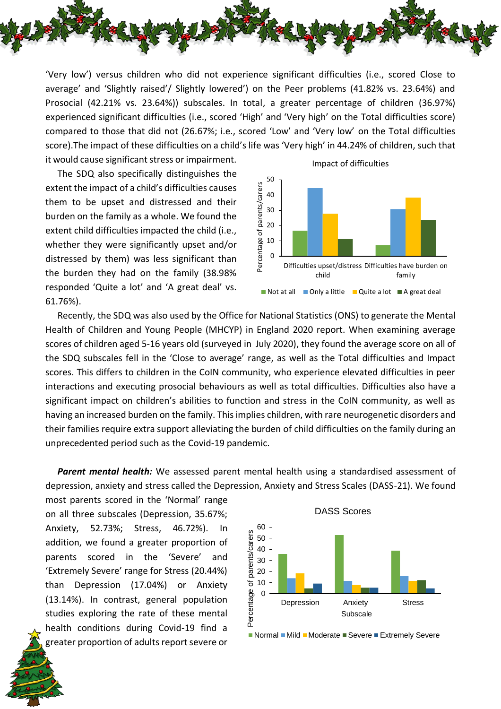

'Very low') versus children who did not experience significant difficulties (i.e., scored Close to average' and 'Slightly raised'/ Slightly lowered') on the Peer problems (41.82% vs. 23.64%) and Prosocial (42.21% vs. 23.64%)) subscales. In total, a greater percentage of children (36.97%) experienced significant difficulties (i.e., scored 'High' and 'Very high' on the Total difficulties score) compared to those that did not (26.67%; i.e., scored 'Low' and 'Very low' on the Total difficulties score).The impact of these difficulties on a child's life was 'Very high' in 44.24% of children, such that it would cause significant stress or impairment.

The SDQ also specifically distinguishes the extent the impact of a child's difficulties causes them to be upset and distressed and their burden on the family as a whole. We found the extent child difficulties impacted the child (i.e., whether they were significantly upset and/or distressed by them) was less significant than the burden they had on the family (38.98% responded 'Quite a lot' and 'A great deal' vs. 61.76%).



Recently, the SDQ was also used by the Office for National Statistics (ONS) to generate the Mental Health of Children and Young People (MHCYP) in England 2020 report. When examining average scores of children aged 5-16 years old (surveyed in July 2020), they found the average score on all of the SDQ subscales fell in the 'Close to average' range, as well as the Total difficulties and Impact scores. This differs to children in the CoIN community, who experience elevated difficulties in peer interactions and executing prosocial behaviours as well as total difficulties. Difficulties also have a significant impact on children's abilities to function and stress in the CoIN community, as well as having an increased burden on the family. This implies children, with rare neurogenetic disorders and their families require extra support alleviating the burden of child difficulties on the family during an unprecedented period such as the Covid-19 pandemic.

*Parent mental health:* We assessed parent mental health using a standardised assessment of depression, anxiety and stress called the Depression, Anxiety and Stress Scales (DASS-21). We found

most parents scored in the 'Normal' range on all three subscales (Depression, 35.67%; Anxiety, 52.73%; Stress, 46.72%). In addition, we found a greater proportion of parents scored in the 'Severe' and 'Extremely Severe' range for Stress (20.44%) than Depression (17.04%) or Anxiety (13.14%). In contrast, general population studies exploring the rate of these mental health conditions during Covid-19 find a greater proportion of adults report severe or



■ Normal ■ Mild ■ Moderate ■ Severe ■ Extremely Severe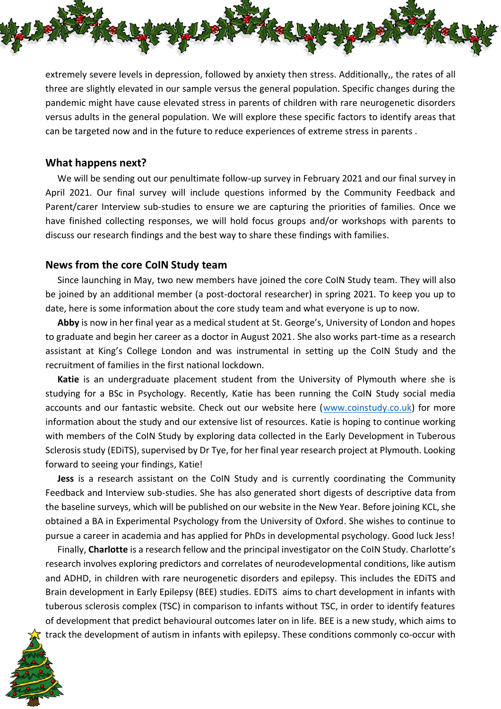

extremely severe levels in depression, followed by anxiety then stress. Additionally,, the rates of all three are slightly elevated in our sample versus the general population. Specific changes during the pandemic might have cause elevated stress in parents of children with rare neurogenetic disorders versus adults in the general population. We will explore these specific factors to identify areas that can be targeted now and in the future to reduce experiences of extreme stress in parents .

### **What happens next?**

We will be sending out our penultimate follow-up survey in February 2021 and our final survey in April 2021. Our final survey will include questions informed by the Community Feedback and Parent/carer Interview sub-studies to ensure we are capturing the priorities of families. Once we have finished collecting responses, we will hold focus groups and/or workshops with parents to discuss our research findings and the best way to share these findings with families.

### **News from the core CoIN Study team**

Since launching in May, two new members have joined the core CoIN Study team. They will also be joined by an additional member (a post-doctoral researcher) in spring 2021. To keep you up to date, here is some information about the core study team and what everyone is up to now.

**Abby** is now in her final year as a medical student at St. George's, University of London and hopes to graduate and begin her career as a doctor in August 2021. She also works part-time as a research assistant at King's College London and was instrumental in setting up the CoIN Study and the recruitment of families in the first national lockdown.

**Katie** is an undergraduate placement student from the University of Plymouth where she is studying for a BSc in Psychology. Recently, Katie has been running the CoIN Study social media accounts and our fantastic website. Check out our website here [\(www.coinstudy.co.uk\)](http://www.coinstudy.co.uk/) for more information about the study and our extensive list of resources. Katie is hoping to continue working with members of the CoIN Study by exploring data collected in the Early Development in Tuberous Sclerosis study (EDiTS), supervised by Dr Tye, for her final year research project at Plymouth. Looking forward to seeing your findings, Katie!

**Jess** is a research assistant on the CoIN Study and is currently coordinating the Community Feedback and Interview sub-studies. She has also generated short digests of descriptive data from the baseline surveys, which will be published on our website in the New Year. Before joining KCL, she obtained a BA in Experimental Psychology from the University of Oxford. She wishes to continue to pursue a career in academia and has applied for PhDs in developmental psychology. Good luck Jess!

Finally, **Charlotte** is a research fellow and the principal investigator on the CoIN Study. Charlotte's research involves exploring predictors and correlates of neurodevelopmental conditions, like autism and ADHD, in children with rare neurogenetic disorders and epilepsy. This includes the EDiTS and Brain development in Early Epilepsy (BEE) studies. EDiTS aims to chart development in infants with tuberous sclerosis complex (TSC) in comparison to infants without TSC, in order to identify features of development that predict behavioural outcomes later on in life. BEE is a new study, which aims to track the development of autism in infants with epilepsy. These conditions commonly co-occur with